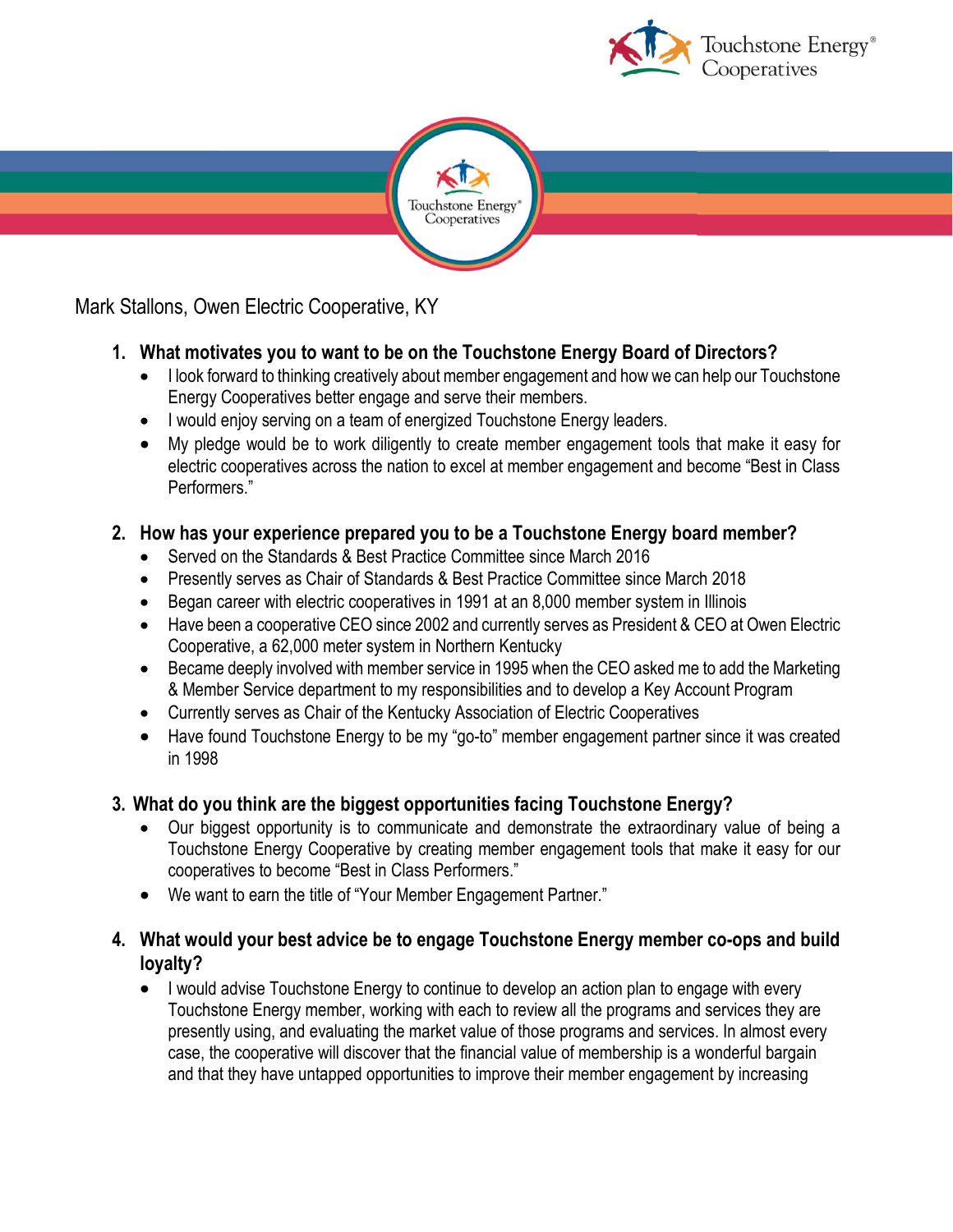



Mark Stallons, Owen Electric Cooperative, KY

# **1. What motivates you to want to be on the Touchstone Energy Board of Directors?**

- I look forward to thinking creatively about member engagement and how we can help our Touchstone Energy Cooperatives better engage and serve their members.
- I would enjoy serving on a team of energized Touchstone Energy leaders.
- My pledge would be to work diligently to create member engagement tools that make it easy for electric cooperatives across the nation to excel at member engagement and become "Best in Class Performers."

# **2. How has your experience prepared you to be a Touchstone Energy board member?**

- Served on the Standards & Best Practice Committee since March 2016
- Presently serves as Chair of Standards & Best Practice Committee since March 2018
- Began career with electric cooperatives in 1991 at an 8,000 member system in Illinois
- Have been a cooperative CEO since 2002 and currently serves as President & CEO at Owen Electric Cooperative, a 62,000 meter system in Northern Kentucky
- Became deeply involved with member service in 1995 when the CEO asked me to add the Marketing & Member Service department to my responsibilities and to develop a Key Account Program
- Currently serves as Chair of the Kentucky Association of Electric Cooperatives
- Have found Touchstone Energy to be my "go-to" member engagement partner since it was created in 1998

# **3. What do you think are the biggest opportunities facing Touchstone Energy?**

- Our biggest opportunity is to communicate and demonstrate the extraordinary value of being a Touchstone Energy Cooperative by creating member engagement tools that make it easy for our cooperatives to become "Best in Class Performers."
- We want to earn the title of "Your Member Engagement Partner."

# **4. What would your best advice be to engage Touchstone Energy member co-ops and build loyalty?**

• I would advise Touchstone Energy to continue to develop an action plan to engage with every Touchstone Energy member, working with each to review all the programs and services they are presently using, and evaluating the market value of those programs and services. In almost every case, the cooperative will discover that the financial value of membership is a wonderful bargain and that they have untapped opportunities to improve their member engagement by increasing